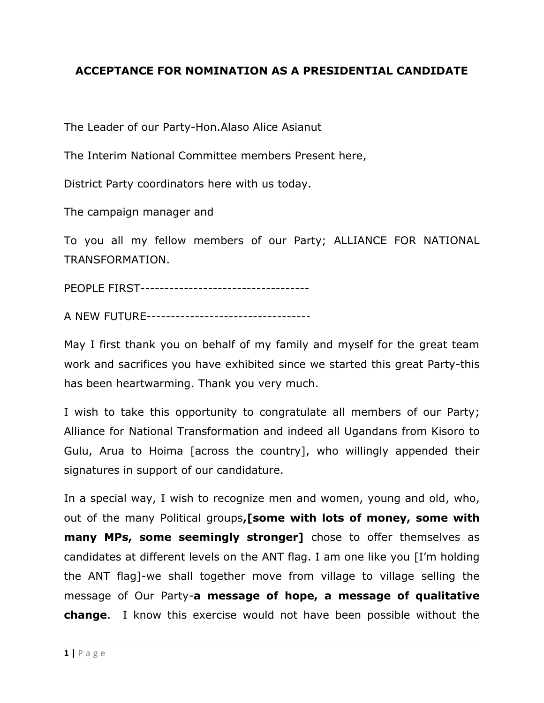## **ACCEPTANCE FOR NOMINATION AS A PRESIDENTIAL CANDIDATE**

The Leader of our Party-Hon.Alaso Alice Asianut

The Interim National Committee members Present here,

District Party coordinators here with us today.

The campaign manager and

To you all my fellow members of our Party; ALLIANCE FOR NATIONAL TRANSFORMATION.

PEOPLE FIRST-----------------------------------

A NEW FUTURE----------------------------------

May I first thank you on behalf of my family and myself for the great team work and sacrifices you have exhibited since we started this great Party-this has been heartwarming. Thank you very much.

I wish to take this opportunity to congratulate all members of our Party; Alliance for National Transformation and indeed all Ugandans from Kisoro to Gulu, Arua to Hoima [across the country], who willingly appended their signatures in support of our candidature.

In a special way, I wish to recognize men and women, young and old, who, out of the many Political groups**,[some with lots of money, some with many MPs, some seemingly stronger]** chose to offer themselves as candidates at different levels on the ANT flag. I am one like you [I'm holding the ANT flag]-we shall together move from village to village selling the message of Our Party-**a message of hope, a message of qualitative change**. I know this exercise would not have been possible without the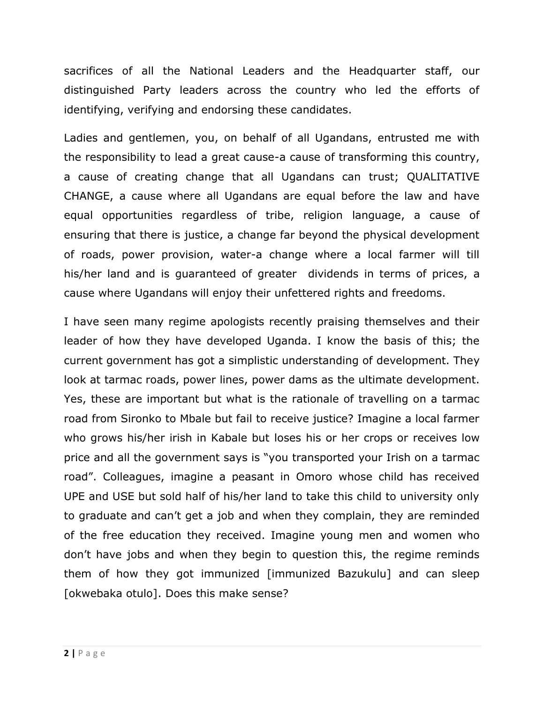sacrifices of all the National Leaders and the Headquarter staff, our distinguished Party leaders across the country who led the efforts of identifying, verifying and endorsing these candidates.

Ladies and gentlemen, you, on behalf of all Ugandans, entrusted me with the responsibility to lead a great cause-a cause of transforming this country, a cause of creating change that all Ugandans can trust; QUALITATIVE CHANGE, a cause where all Ugandans are equal before the law and have equal opportunities regardless of tribe, religion language, a cause of ensuring that there is justice, a change far beyond the physical development of roads, power provision, water-a change where a local farmer will till his/her land and is guaranteed of greater dividends in terms of prices, a cause where Ugandans will enjoy their unfettered rights and freedoms.

I have seen many regime apologists recently praising themselves and their leader of how they have developed Uganda. I know the basis of this; the current government has got a simplistic understanding of development. They look at tarmac roads, power lines, power dams as the ultimate development. Yes, these are important but what is the rationale of travelling on a tarmac road from Sironko to Mbale but fail to receive justice? Imagine a local farmer who grows his/her irish in Kabale but loses his or her crops or receives low price and all the government says is "you transported your Irish on a tarmac road". Colleagues, imagine a peasant in Omoro whose child has received UPE and USE but sold half of his/her land to take this child to university only to graduate and can't get a job and when they complain, they are reminded of the free education they received. Imagine young men and women who don't have jobs and when they begin to question this, the regime reminds them of how they got immunized [immunized Bazukulu] and can sleep [okwebaka otulo]. Does this make sense?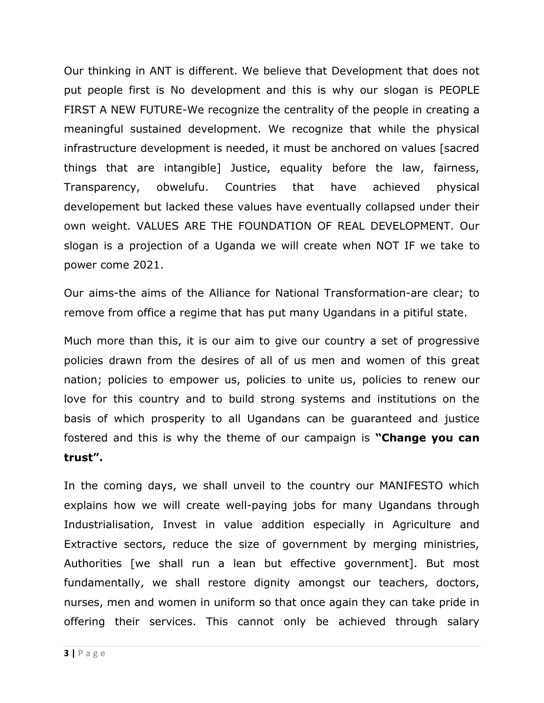Our thinking in ANT is different. We believe that Development that does not put people first is No development and this is why our slogan is PEOPLE FIRST A NEW FUTURE-We recognize the centrality of the people in creating a meaningful sustained development. We recognize that while the physical infrastructure development is needed, it must be anchored on values [sacred things that are intangible] Justice, equality before the law, fairness, Transparency, obwelufu. Countries that have achieved physical developement but lacked these values have eventually collapsed under their own weight. VALUES ARE THE FOUNDATION OF REAL DEVELOPMENT. Our slogan is a projection of a Uganda we will create when NOT IF we take to power come 2021.

Our aims-the aims of the Alliance for National Transformation-are clear; to remove from office a regime that has put many Ugandans in a pitiful state.

Much more than this, it is our aim to give our country a set of progressive policies drawn from the desires of all of us men and women of this great nation; policies to empower us, policies to unite us, policies to renew our love for this country and to build strong systems and institutions on the basis of which prosperity to all Ugandans can be guaranteed and justice fostered and this is why the theme of our campaign is **"Change you can trust".** 

In the coming days, we shall unveil to the country our MANIFESTO which explains how we will create well-paying jobs for many Ugandans through Industrialisation, Invest in value addition especially in Agriculture and Extractive sectors, reduce the size of government by merging ministries, Authorities [we shall run a lean but effective government]. But most fundamentally, we shall restore dignity amongst our teachers, doctors, nurses, men and women in uniform so that once again they can take pride in offering their services. This cannot only be achieved through salary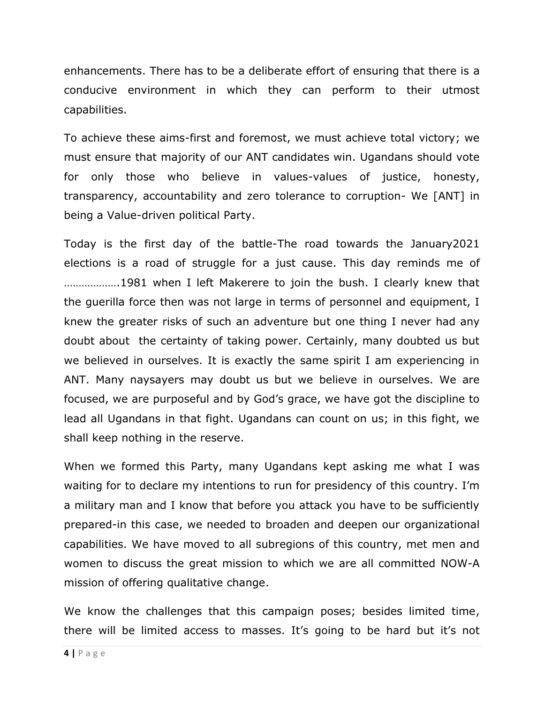enhancements. There has to be a deliberate effort of ensuring that there is a conducive environment in which they can perform to their utmost capabilities.

To achieve these aims-first and foremost, we must achieve total victory; we must ensure that majority of our ANT candidates win. Ugandans should vote for only those who believe in values-values of justice, honesty, transparency, accountability and zero tolerance to corruption- We [ANT] in being a Value-driven political Party.

Today is the first day of the battle-The road towards the January2021 elections is a road of struggle for a just cause. This day reminds me of ……………….1981 when I left Makerere to join the bush. I clearly knew that the guerilla force then was not large in terms of personnel and equipment, I knew the greater risks of such an adventure but one thing I never had any doubt about the certainty of taking power. Certainly, many doubted us but we believed in ourselves. It is exactly the same spirit I am experiencing in ANT. Many naysayers may doubt us but we believe in ourselves. We are focused, we are purposeful and by God's grace, we have got the discipline to lead all Ugandans in that fight. Ugandans can count on us; in this fight, we shall keep nothing in the reserve.

When we formed this Party, many Ugandans kept asking me what I was waiting for to declare my intentions to run for presidency of this country. I'm a military man and I know that before you attack you have to be sufficiently prepared-in this case, we needed to broaden and deepen our organizational capabilities. We have moved to all subregions of this country, met men and women to discuss the great mission to which we are all committed NOW-A mission of offering qualitative change.

We know the challenges that this campaign poses; besides limited time, there will be limited access to masses. It's going to be hard but it's not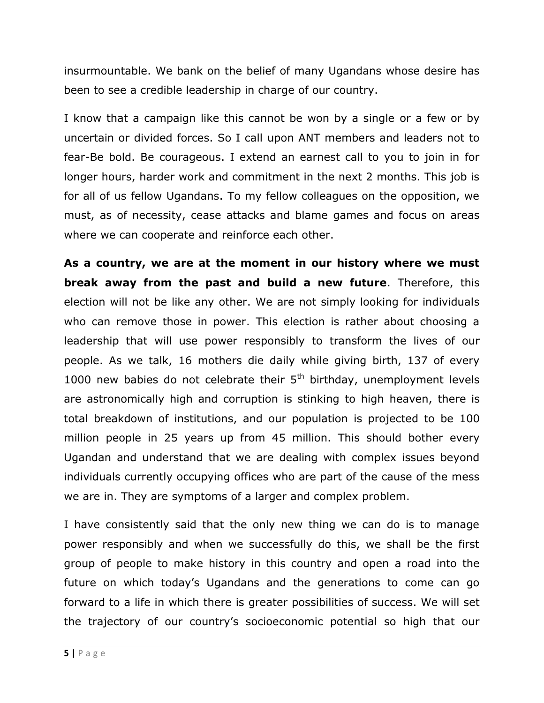insurmountable. We bank on the belief of many Ugandans whose desire has been to see a credible leadership in charge of our country.

I know that a campaign like this cannot be won by a single or a few or by uncertain or divided forces. So I call upon ANT members and leaders not to fear-Be bold. Be courageous. I extend an earnest call to you to join in for longer hours, harder work and commitment in the next 2 months. This job is for all of us fellow Ugandans. To my fellow colleagues on the opposition, we must, as of necessity, cease attacks and blame games and focus on areas where we can cooperate and reinforce each other.

**As a country, we are at the moment in our history where we must break away from the past and build a new future**. Therefore, this election will not be like any other. We are not simply looking for individuals who can remove those in power. This election is rather about choosing a leadership that will use power responsibly to transform the lives of our people. As we talk, 16 mothers die daily while giving birth, 137 of every 1000 new babies do not celebrate their  $5<sup>th</sup>$  birthday, unemployment levels are astronomically high and corruption is stinking to high heaven, there is total breakdown of institutions, and our population is projected to be 100 million people in 25 years up from 45 million. This should bother every Ugandan and understand that we are dealing with complex issues beyond individuals currently occupying offices who are part of the cause of the mess we are in. They are symptoms of a larger and complex problem.

I have consistently said that the only new thing we can do is to manage power responsibly and when we successfully do this, we shall be the first group of people to make history in this country and open a road into the future on which today's Ugandans and the generations to come can go forward to a life in which there is greater possibilities of success. We will set the trajectory of our country's socioeconomic potential so high that our